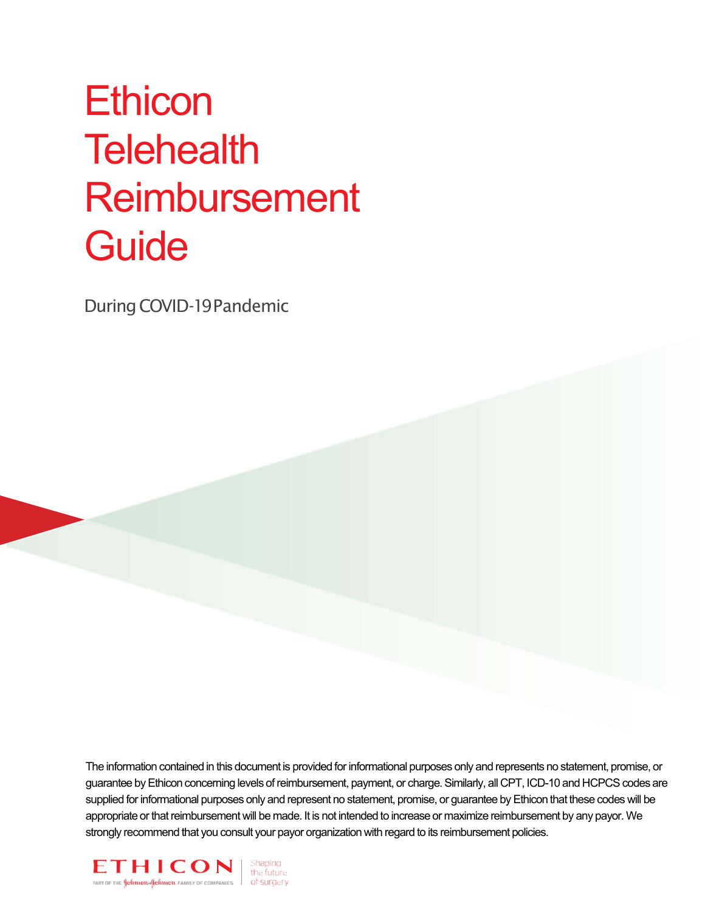# **Ethicon Telehealth** Reimbursement **Guide**

DuringCOVID-19Pandemic

The information contained in this document is provided for informational purposes only and represents no statement, promise, or guarantee by Ethicon concerning levels of reimbursement, payment, or charge. Similarly, all CPT, ICD-10 and HCPCS codes are supplied for informational purposes only and represent no statement, promise, or guarantee by Ethicon that these codes will be appropriate or that reimbursement will be made. It is not intended to increase or maximize reimbursement by any payor. We strongly recommend that you consult your payor organization with regard to its reimbursement policies.

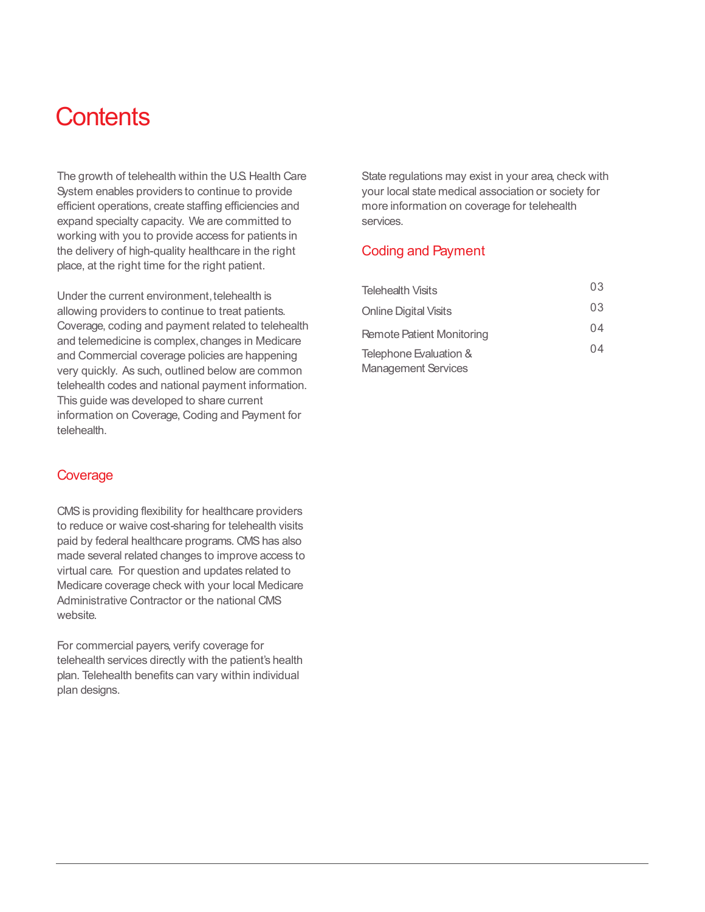### **Contents**

The growth of telehealth within the U.S. Health Care System enables providers to continue to provide efficient operations, create staffing efficiencies and expand specialty capacity. We are committed to working with you to provide access for patients in the delivery of high-quality healthcare in the right place, at the right time for the right patient.

Under the current environment, telehealth is allowing providers to continue to treat patients. Coverage, coding and payment related to telehealth and telemedicine is complex, changes in Medicare and Commercial coverage policies are happening very quickly. As such, outlined below are common telehealth codes and national payment information. This guide was developed to share current information on Coverage, Coding and Payment for telehealth.

#### **Coverage**

CMS is providing flexibility for healthcare providers to reduce or waive cost-sharing for telehealth visits paid by federal healthcare programs. CMS has also made several related changes to improve access to virtual care. For question and updates related to Medicare coverage check with your local Medicare Administrative Contractor or the national CMS website.

For commercial payers, verify coverage for telehealth services directly with the patient's health plan. Telehealth benefits can vary within individual plan designs.

State regulations may exist in your area, check with your local state medical association or society for more information on coverage for telehealth services.

#### Coding and Payment

| Telehealth Visits          | 03 |
|----------------------------|----|
| Online Digital Visits      | 03 |
| Remote Patient Monitoring  | 04 |
| Telephone Evaluation &     |    |
| <b>Management Services</b> |    |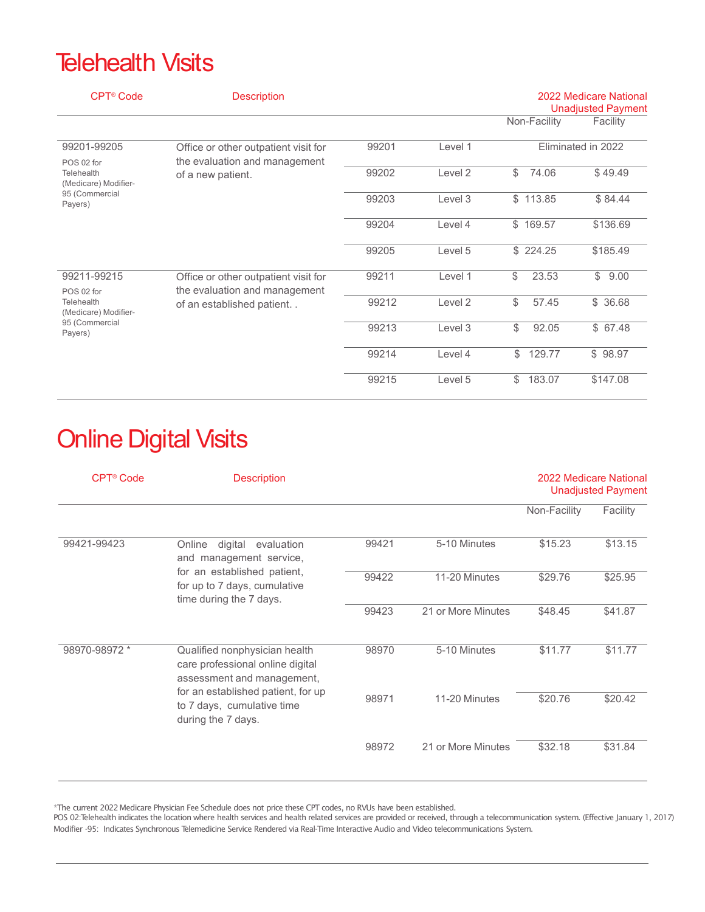#### **Telehealth Visits**

| <b>CPT<sup>®</sup> Code</b>                                                                  | <b>Description</b>                                                                                 |       |                    |                    | 2022 Medicare National<br><b>Unadjusted Payment</b> |  |
|----------------------------------------------------------------------------------------------|----------------------------------------------------------------------------------------------------|-------|--------------------|--------------------|-----------------------------------------------------|--|
|                                                                                              |                                                                                                    |       |                    | Non-Facility       | Facility                                            |  |
| 99201-99205<br>POS 02 for<br>Telehealth<br>(Medicare) Modifier-<br>95 (Commercial<br>Payers) | Office or other outpatient visit for<br>the evaluation and management<br>of a new patient.         | 99201 | Level 1            | Eliminated in 2022 |                                                     |  |
|                                                                                              |                                                                                                    | 99202 | Level <sub>2</sub> | \$<br>74.06        | \$49.49                                             |  |
|                                                                                              |                                                                                                    | 99203 | Level 3            | \$113.85           | \$84.44                                             |  |
|                                                                                              |                                                                                                    | 99204 | Level 4            | \$169.57           | \$136.69                                            |  |
|                                                                                              |                                                                                                    | 99205 | Level 5            | \$224.25           | \$185.49                                            |  |
| 99211-99215<br>POS 02 for<br>Telehealth<br>(Medicare) Modifier-<br>95 (Commercial<br>Payers) | Office or other outpatient visit for<br>the evaluation and management<br>of an established patient | 99211 | Level 1            | \$<br>23.53        | \$<br>9.00                                          |  |
|                                                                                              |                                                                                                    | 99212 | Level <sub>2</sub> | \$<br>57.45        | \$36.68                                             |  |
|                                                                                              |                                                                                                    | 99213 | Level 3            | \$<br>92.05        | \$67.48                                             |  |
|                                                                                              |                                                                                                    | 99214 | Level 4            | \$<br>129.77       | \$98.97                                             |  |
|                                                                                              |                                                                                                    | 99215 | Level 5            | 183.07<br>\$       | \$147.08                                            |  |

## Online Digital Visits

| CPT <sup>®</sup> Code | <b>Description</b>                                                                                                                                                                        |       |                    |              | 2022 Medicare National<br><b>Unadjusted Payment</b> |
|-----------------------|-------------------------------------------------------------------------------------------------------------------------------------------------------------------------------------------|-------|--------------------|--------------|-----------------------------------------------------|
|                       |                                                                                                                                                                                           |       |                    | Non-Facility | Facility                                            |
| 99421-99423           | digital<br>Online<br>evaluation<br>and management service,<br>for an established patient,<br>for up to 7 days, cumulative<br>time during the 7 days.                                      | 99421 | 5-10 Minutes       | \$15.23      | \$13.15                                             |
|                       |                                                                                                                                                                                           | 99422 | 11-20 Minutes      | \$29.76      | \$25.95                                             |
|                       |                                                                                                                                                                                           | 99423 | 21 or More Minutes | \$48.45      | \$41.87                                             |
| 98970-98972 *         | Qualified nonphysician health<br>care professional online digital<br>assessment and management,<br>for an established patient, for up<br>to 7 days, cumulative time<br>during the 7 days. | 98970 | 5-10 Minutes       | \$11.77      | \$11.77                                             |
|                       |                                                                                                                                                                                           | 98971 | 11-20 Minutes      | \$20.76      | \$20.42                                             |
|                       |                                                                                                                                                                                           | 98972 | 21 or More Minutes | \$32.18      | \$31.84                                             |

\*The current 2022 Medicare Physician Fee Schedule does not price these CPT codes, no RVUs have been established.

POS 02:Telehealth indicates the location where health services and health related services are provided or received, through a telecommunication system. (Effective January 1, 2017) Modifier -95: Indicates Synchronous Telemedicine Service Rendered via Real-Time Interactive Audio and Video telecommunications System.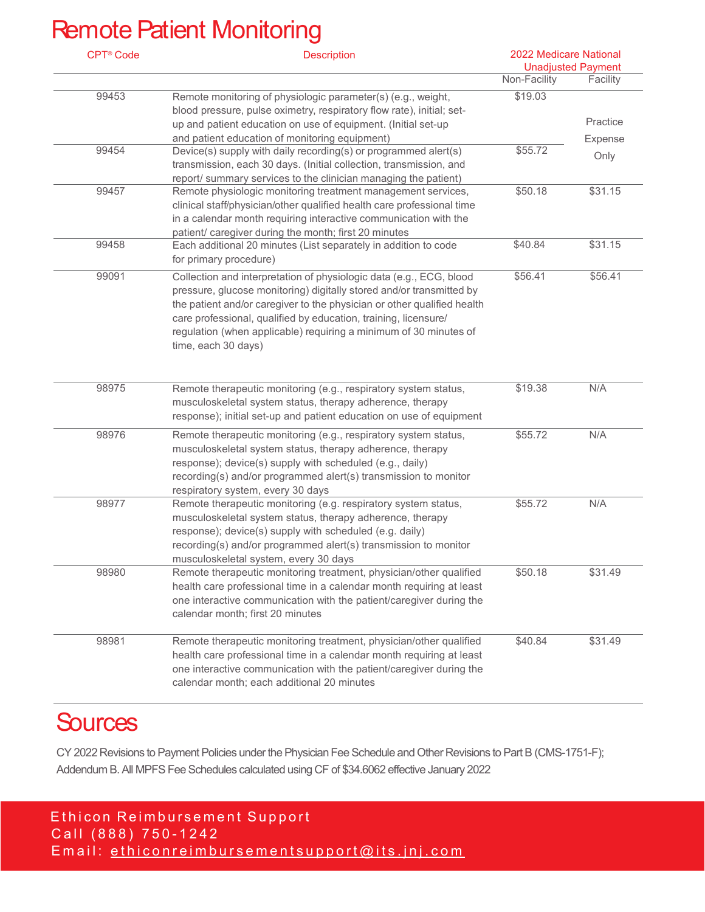### Remote Patient Monitoring

| <b>CPT® Code</b> | <b>Description</b>                                                                                                                                                                                                                                                                                                                                                                    | 2022 Medicare National<br><b>Unadjusted Payment</b> |                 |
|------------------|---------------------------------------------------------------------------------------------------------------------------------------------------------------------------------------------------------------------------------------------------------------------------------------------------------------------------------------------------------------------------------------|-----------------------------------------------------|-----------------|
|                  |                                                                                                                                                                                                                                                                                                                                                                                       | Non-Facility                                        | Facility        |
| 99453            | Remote monitoring of physiologic parameter(s) (e.g., weight,<br>blood pressure, pulse oximetry, respiratory flow rate), initial; set-<br>up and patient education on use of equipment. (Initial set-up<br>and patient education of monitoring equipment)                                                                                                                              | \$19.03                                             | Practice        |
| 99454            | Device(s) supply with daily recording(s) or programmed alert(s)<br>transmission, each 30 days. (Initial collection, transmission, and<br>report/ summary services to the clinician managing the patient)                                                                                                                                                                              | \$55.72                                             | Expense<br>Only |
| 99457            | Remote physiologic monitoring treatment management services,<br>clinical staff/physician/other qualified health care professional time<br>in a calendar month requiring interactive communication with the<br>patient/ caregiver during the month; first 20 minutes                                                                                                                   | \$50.18                                             | \$31.15         |
| 99458            | Each additional 20 minutes (List separately in addition to code<br>for primary procedure)                                                                                                                                                                                                                                                                                             | \$40.84                                             | \$31.15         |
| 99091            | Collection and interpretation of physiologic data (e.g., ECG, blood<br>pressure, glucose monitoring) digitally stored and/or transmitted by<br>the patient and/or caregiver to the physician or other qualified health<br>care professional, qualified by education, training, licensure/<br>regulation (when applicable) requiring a minimum of 30 minutes of<br>time, each 30 days) | \$56.41                                             | \$56.41         |
| 98975            | Remote therapeutic monitoring (e.g., respiratory system status,<br>musculoskeletal system status, therapy adherence, therapy<br>response); initial set-up and patient education on use of equipment                                                                                                                                                                                   | \$19.38                                             | N/A             |
| 98976            | Remote therapeutic monitoring (e.g., respiratory system status,<br>musculoskeletal system status, therapy adherence, therapy<br>response); device(s) supply with scheduled (e.g., daily)<br>recording(s) and/or programmed alert(s) transmission to monitor<br>respiratory system, every 30 days                                                                                      | \$55.72                                             | N/A             |
| 98977            | Remote therapeutic monitoring (e.g. respiratory system status,<br>musculoskeletal system status, therapy adherence, therapy<br>response); device(s) supply with scheduled (e.g. daily)<br>recording(s) and/or programmed alert(s) transmission to monitor<br>musculoskeletal system, every 30 days                                                                                    | \$55.72                                             | N/A             |
| 98980            | Remote therapeutic monitoring treatment, physician/other qualified<br>health care professional time in a calendar month requiring at least<br>one interactive communication with the patient/caregiver during the<br>calendar month; first 20 minutes                                                                                                                                 | \$50.18                                             | \$31.49         |
| 98981            | Remote therapeutic monitoring treatment, physician/other qualified<br>health care professional time in a calendar month requiring at least<br>one interactive communication with the patient/caregiver during the<br>calendar month; each additional 20 minutes                                                                                                                       | \$40.84                                             | \$31.49         |

### **Sources**

CY 2022 Revisions to Payment Policies under the Physician Fee Schedule and Other Revisions to Part B (CMS-1751-F); Addendum B. All MPFS Fee Schedules calculated using CF of \$34.6062 effective January 2022

Ethicon Reimbursement Support Call (888) 750-1242 Email: ethiconreimbursementsupport@its.jnj.com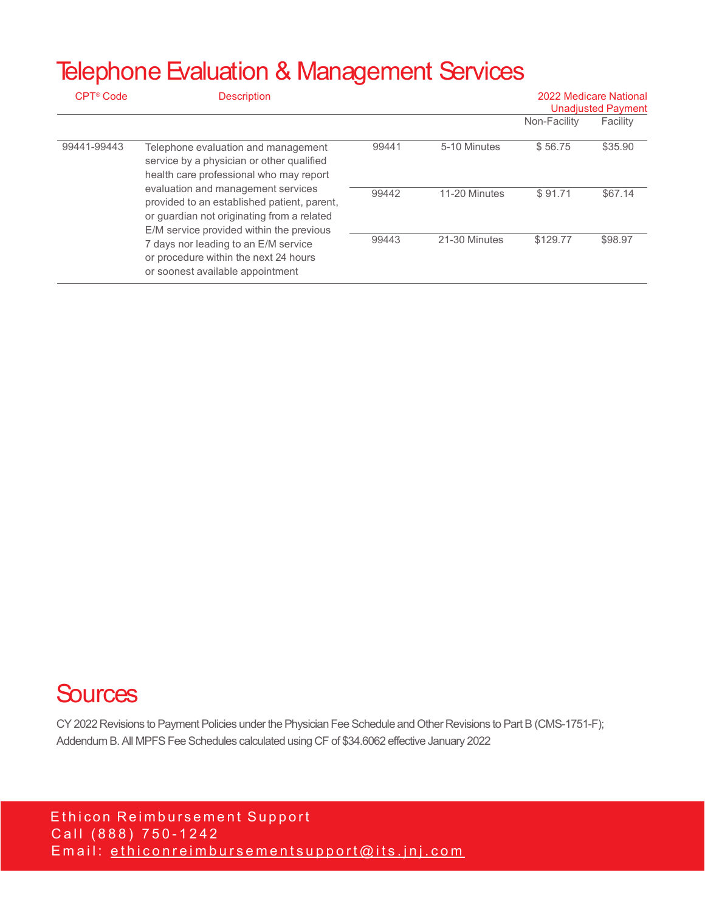#### Telephone Evaluation & Management Services

| CPT <sup>®</sup> Code | <b>Description</b>                                                                                                                                                                                                                                                                                         |       |               | 2022 Medicare National<br><b>Unadjusted Payment</b> |          |
|-----------------------|------------------------------------------------------------------------------------------------------------------------------------------------------------------------------------------------------------------------------------------------------------------------------------------------------------|-------|---------------|-----------------------------------------------------|----------|
|                       |                                                                                                                                                                                                                                                                                                            |       |               | Non-Facility                                        | Facility |
| 99441-99443           | Telephone evaluation and management<br>service by a physician or other qualified<br>health care professional who may report<br>evaluation and management services<br>provided to an established patient, parent,<br>or guardian not originating from a related<br>E/M service provided within the previous | 99441 | 5-10 Minutes  | \$56.75                                             | \$35.90  |
|                       |                                                                                                                                                                                                                                                                                                            | 99442 | 11-20 Minutes | \$91.71                                             | \$67.14  |
|                       | 7 days nor leading to an E/M service<br>or procedure within the next 24 hours<br>or soonest available appointment                                                                                                                                                                                          | 99443 | 21-30 Minutes | \$129.77                                            | \$98.97  |

#### **Sources**

CY 2022 Revisions to Payment Policies under the Physician Fee Schedule and Other Revisions to Part B (CMS-1751-F); Addendum B. All MPFS Fee Schedules calculated using CF of \$34.6062 effective January 2022

Ethicon Reimbursement Support Call (888) 750-1242 Email: ethiconreimbursementsupport@its.jnj.com